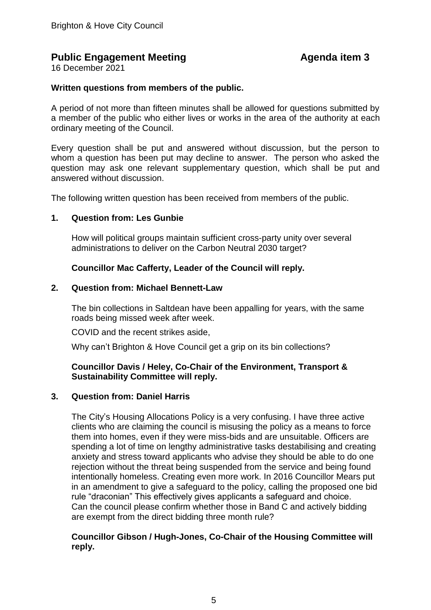# **Public Engagement Meeting Agenda item 3**

16 December 2021

# **Written questions from members of the public.**

A period of not more than fifteen minutes shall be allowed for questions submitted by a member of the public who either lives or works in the area of the authority at each ordinary meeting of the Council.

Every question shall be put and answered without discussion, but the person to whom a question has been put may decline to answer. The person who asked the question may ask one relevant supplementary question, which shall be put and answered without discussion.

The following written question has been received from members of the public.

#### **1. Question from: Les Gunbie**

How will political groups maintain sufficient cross-party unity over several administrations to deliver on the Carbon Neutral 2030 target?

# **Councillor Mac Cafferty, Leader of the Council will reply.**

#### **2. Question from: Michael Bennett-Law**

The bin collections in Saltdean have been appalling for years, with the same roads being missed week after week.

COVID and the recent strikes aside,

Why can't Brighton & Hove Council get a grip on its bin collections?

# **Councillor Davis / Heley, Co-Chair of the Environment, Transport & Sustainability Committee will reply.**

#### **3. Question from: Daniel Harris**

The City's Housing Allocations Policy is a very confusing. I have three active clients who are claiming the council is misusing the policy as a means to force them into homes, even if they were miss-bids and are unsuitable. Officers are spending a lot of time on lengthy administrative tasks destabilising and creating anxiety and stress toward applicants who advise they should be able to do one rejection without the threat being suspended from the service and being found intentionally homeless. Creating even more work. In 2016 Councillor Mears put in an amendment to give a safeguard to the policy, calling the proposed one bid rule "draconian" This effectively gives applicants a safeguard and choice. Can the council please confirm whether those in Band C and actively bidding are exempt from the direct bidding three month rule?

# **Councillor Gibson / Hugh-Jones, Co-Chair of the Housing Committee will reply.**